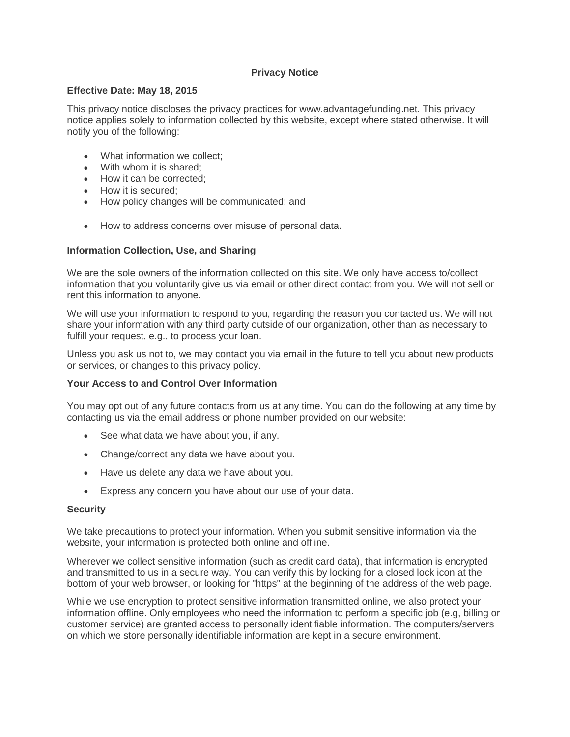## **Privacy Notice**

#### **Effective Date: May 18, 2015**

This privacy notice discloses the privacy practices for www.advantagefunding.net. This privacy notice applies solely to information collected by this website, except where stated otherwise. It will notify you of the following:

- What information we collect:
- With whom it is shared;
- How it can be corrected:
- How it is secured;
- How policy changes will be communicated; and
- How to address concerns over misuse of personal data.

## **Information Collection, Use, and Sharing**

We are the sole owners of the information collected on this site. We only have access to/collect information that you voluntarily give us via email or other direct contact from you. We will not sell or rent this information to anyone.

We will use your information to respond to you, regarding the reason you contacted us. We will not share your information with any third party outside of our organization, other than as necessary to fulfill your request, e.g., to process your loan.

Unless you ask us not to, we may contact you via email in the future to tell you about new products or services, or changes to this privacy policy.

## **Your Access to and Control Over Information**

You may opt out of any future contacts from us at any time. You can do the following at any time by contacting us via the email address or phone number provided on our website:

- See what data we have about you, if any.
- Change/correct any data we have about you.
- Have us delete any data we have about you.
- Express any concern you have about our use of your data.

## **Security**

We take precautions to protect your information. When you submit sensitive information via the website, your information is protected both online and offline.

Wherever we collect sensitive information (such as credit card data), that information is encrypted and transmitted to us in a secure way. You can verify this by looking for a closed lock icon at the bottom of your web browser, or looking for "https" at the beginning of the address of the web page.

While we use encryption to protect sensitive information transmitted online, we also protect your information offline. Only employees who need the information to perform a specific job (e.g, billing or customer service) are granted access to personally identifiable information. The computers/servers on which we store personally identifiable information are kept in a secure environment.